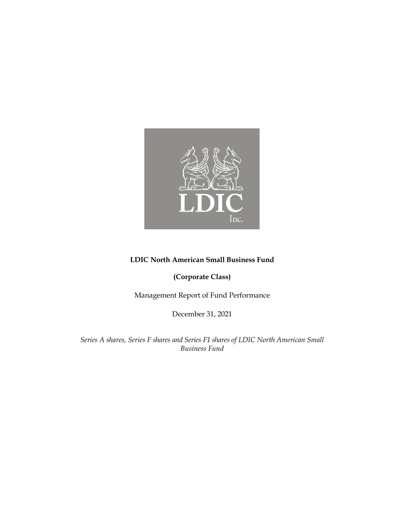

# **LDIC North American Small Business Fund**

**(Corporate Class)** 

Management Report of Fund Performance

December 31, 2021

*Series A shares, Series F shares and Series F1 shares of LDIC North American Small Business Fund*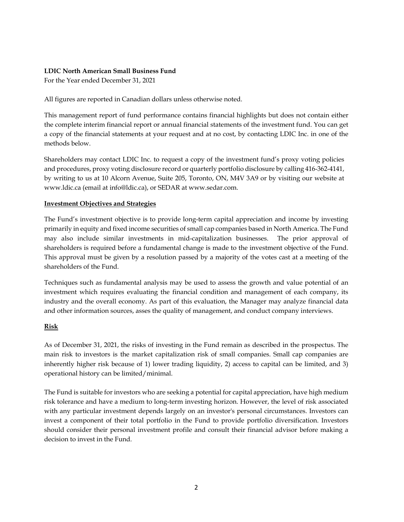### **LDIC North American Small Business Fund**

For the Year ended December 31, 2021

All figures are reported in Canadian dollars unless otherwise noted.

This management report of fund performance contains financial highlights but does not contain either the complete interim financial report or annual financial statements of the investment fund. You can get a copy of the financial statements at your request and at no cost, by contacting LDIC Inc. in one of the methods below.

Shareholders may contact LDIC Inc. to request a copy of the investment fund's proxy voting policies and procedures, proxy voting disclosure record or quarterly portfolio disclosure by calling 416-362-4141, by writing to us at 10 Alcorn Avenue, Suite 205, Toronto, ON, M4V 3A9 or by visiting our website at www.ldic.ca (email at info@ldic.ca), or SEDAR at www.sedar.com.

### **Investment Objectives and Strategies**

The Fund's investment objective is to provide long-term capital appreciation and income by investing primarily in equity and fixed income securities of small cap companies based in North America. The Fund may also include similar investments in mid-capitalization businesses. The prior approval of shareholders is required before a fundamental change is made to the investment objective of the Fund. This approval must be given by a resolution passed by a majority of the votes cast at a meeting of the shareholders of the Fund.

Techniques such as fundamental analysis may be used to assess the growth and value potential of an investment which requires evaluating the financial condition and management of each company, its industry and the overall economy. As part of this evaluation, the Manager may analyze financial data and other information sources, asses the quality of management, and conduct company interviews.

### **Risk**

As of December 31, 2021, the risks of investing in the Fund remain as described in the prospectus. The main risk to investors is the market capitalization risk of small companies. Small cap companies are inherently higher risk because of 1) lower trading liquidity, 2) access to capital can be limited, and 3) operational history can be limited/minimal.

The Fund is suitable for investors who are seeking a potential for capital appreciation, have high medium risk tolerance and have a medium to long-term investing horizon. However, the level of risk associated with any particular investment depends largely on an investor's personal circumstances. Investors can invest a component of their total portfolio in the Fund to provide portfolio diversification. Investors should consider their personal investment profile and consult their financial advisor before making a decision to invest in the Fund.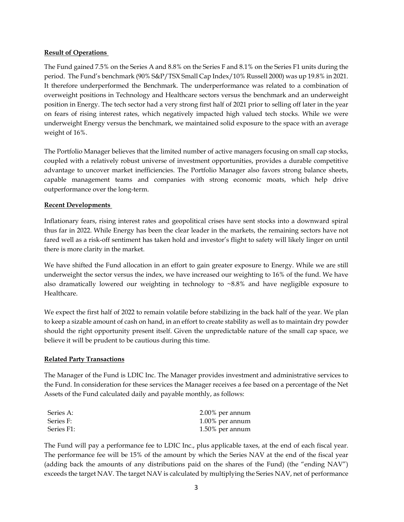### **Result of Operations**

The Fund gained 7.5% on the Series A and 8.8% on the Series F and 8.1% on the Series F1 units during the period. The Fund's benchmark (90% S&P/TSX Small Cap Index/10% Russell 2000) was up 19.8% in 2021. It therefore underperformed the Benchmark. The underperformance was related to a combination of overweight positions in Technology and Healthcare sectors versus the benchmark and an underweight position in Energy. The tech sector had a very strong first half of 2021 prior to selling off later in the year on fears of rising interest rates, which negatively impacted high valued tech stocks. While we were underweight Energy versus the benchmark, we maintained solid exposure to the space with an average weight of 16%.

The Portfolio Manager believes that the limited number of active managers focusing on small cap stocks, coupled with a relatively robust universe of investment opportunities, provides a durable competitive advantage to uncover market inefficiencies. The Portfolio Manager also favors strong balance sheets, capable management teams and companies with strong economic moats, which help drive outperformance over the long-term.

### **Recent Developments**

Inflationary fears, rising interest rates and geopolitical crises have sent stocks into a downward spiral thus far in 2022. While Energy has been the clear leader in the markets, the remaining sectors have not fared well as a risk-off sentiment has taken hold and investor's flight to safety will likely linger on until there is more clarity in the market.

We have shifted the Fund allocation in an effort to gain greater exposure to Energy. While we are still underweight the sector versus the index, we have increased our weighting to 16% of the fund. We have also dramatically lowered our weighting in technology to  $\sim 8.8\%$  and have negligible exposure to Healthcare.

We expect the first half of 2022 to remain volatile before stabilizing in the back half of the year. We plan to keep a sizable amount of cash on hand, in an effort to create stability as well as to maintain dry powder should the right opportunity present itself. Given the unpredictable nature of the small cap space, we believe it will be prudent to be cautious during this time.

#### **Related Party Transactions**

The Manager of the Fund is LDIC Inc. The Manager provides investment and administrative services to the Fund. In consideration for these services the Manager receives a fee based on a percentage of the Net Assets of the Fund calculated daily and payable monthly, as follows:

| Series A:  | $2.00\%$ per annum |
|------------|--------------------|
| Series F:  | $1.00\%$ per annum |
| Series F1: | $1.50\%$ per annum |

The Fund will pay a performance fee to LDIC Inc., plus applicable taxes, at the end of each fiscal year. The performance fee will be 15% of the amount by which the Series NAV at the end of the fiscal year (adding back the amounts of any distributions paid on the shares of the Fund) (the "ending NAV") exceeds the target NAV. The target NAV is calculated by multiplying the Series NAV, net of performance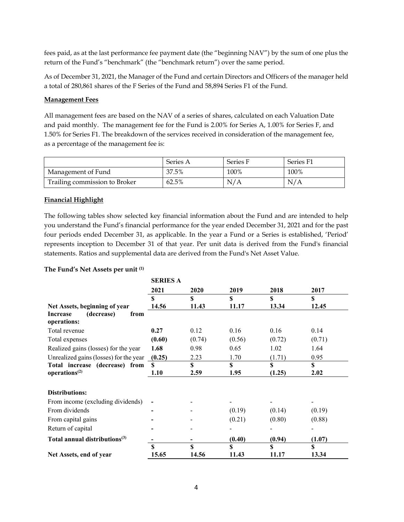fees paid, as at the last performance fee payment date (the "beginning NAV") by the sum of one plus the return of the Fund's "benchmark" (the "benchmark return") over the same period.

As of December 31, 2021, the Manager of the Fund and certain Directors and Officers of the manager held a total of 280,861 shares of the F Series of the Fund and 58,894 Series F1 of the Fund.

### **Management Fees**

All management fees are based on the NAV of a series of shares, calculated on each Valuation Date and paid monthly. The management fee for the Fund is 2.00% for Series A, 1.00% for Series F, and 1.50% for Series F1. The breakdown of the services received in consideration of the management fee, as a percentage of the management fee is:

|                               | Series A | Series F | Series F1 |
|-------------------------------|----------|----------|-----------|
| Management of Fund            | 37.5%    | 100%     | 100%      |
| Trailing commission to Broker | 62.5%    | N/A      | N/A       |

### **Financial Highlight**

The following tables show selected key financial information about the Fund and are intended to help you understand the Fund's financial performance for the year ended December 31, 2021 and for the past four periods ended December 31, as applicable. In the year a Fund or a Series is established, 'Period' represents inception to December 31 of that year. Per unit data is derived from the Fund's financial statements. Ratios and supplemental data are derived from the Fund's Net Asset Value.

### **The Fund's Net Assets per unit (1)**

|                                                             | <b>SERIES A</b> |             |             |                      |             |
|-------------------------------------------------------------|-----------------|-------------|-------------|----------------------|-------------|
|                                                             | 2021            | 2020        | 2019        | 2018                 | 2017        |
|                                                             | \$              | \$          | \$          | \$                   | \$          |
| Net Assets, beginning of year                               | 14.56           | 11.43       | 11.17       | 13.34                | 12.45       |
| (decrease)<br>Increase<br>from<br>operations:               |                 |             |             |                      |             |
| Total revenue                                               | 0.27            | 0.12        | 0.16        | 0.16                 | 0.14        |
| Total expenses                                              | (0.60)          | (0.74)      | (0.56)      | (0.72)               | (0.71)      |
| Realized gains (losses) for the year                        | 1.68            | 0.98        | 0.65        | 1.02                 | 1.64        |
| Unrealized gains (losses) for the year                      | (0.25)          | 2.23        | 1.70        | (1.71)               | 0.95        |
| Total increase (decrease) from<br>operations <sup>(2)</sup> | \$.<br>1.10     | \$<br>2.59  | \$<br>1.95  | \$<br>(1.25)         | \$<br>2.02  |
| Distributions:                                              |                 |             |             |                      |             |
| From income (excluding dividends)                           |                 |             |             |                      |             |
| From dividends                                              |                 |             | (0.19)      | (0.14)               | (0.19)      |
| From capital gains                                          |                 |             | (0.21)      | (0.80)               | (0.88)      |
| Return of capital                                           |                 |             |             |                      |             |
| Total annual distributions <sup>(3)</sup>                   |                 |             | (0.40)      | (0.94)               | (1.07)      |
| Net Assets, end of year                                     | \$<br>15.65     | \$<br>14.56 | \$<br>11.43 | $\mathbf S$<br>11.17 | \$<br>13.34 |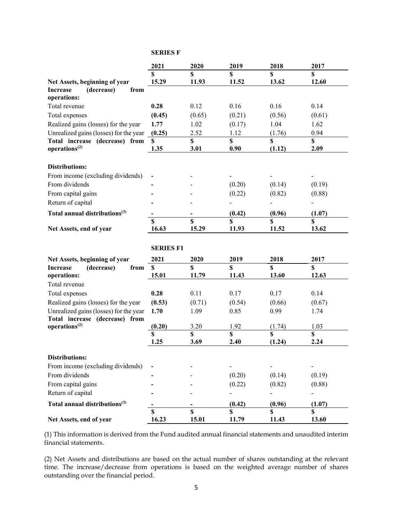#### **SERIES F**

|                                                             | 2021             | 2020        | 2019                    | 2018        | 2017                    |
|-------------------------------------------------------------|------------------|-------------|-------------------------|-------------|-------------------------|
|                                                             | \$               | $\mathbf S$ | $\mathbf S$             | $\mathbf S$ | $\mathbf S$             |
| Net Assets, beginning of year                               | 15.29            | 11.93       | 11.52                   | 13.62       | 12.60                   |
| <b>Increase</b><br>(decrease)<br>from<br>operations:        |                  |             |                         |             |                         |
| Total revenue                                               | 0.28             | 0.12        | 0.16                    | 0.16        | 0.14                    |
| Total expenses                                              | (0.45)           | (0.65)      | (0.21)                  | (0.56)      | (0.61)                  |
| Realized gains (losses) for the year                        | 1.77             | 1.02        | (0.17)                  | 1.04        | 1.62                    |
| Unrealized gains (losses) for the year                      | (0.25)           | 2.52        | 1.12                    | (1.76)      | 0.94                    |
| Total increase (decrease) from                              | \$               | \$          | $\mathbf S$             | \$          | $\mathbf S$             |
| operations <sup>(2)</sup>                                   | 1.35             | 3.01        | 0.90                    | (1.12)      | 2.09                    |
| <b>Distributions:</b>                                       |                  |             |                         |             |                         |
| From income (excluding dividends)                           |                  |             |                         |             |                         |
| From dividends                                              |                  |             | (0.20)                  | (0.14)      | (0.19)                  |
| From capital gains                                          |                  |             | (0.22)                  | (0.82)      | (0.88)                  |
| Return of capital                                           |                  |             |                         |             |                         |
| Total annual distributions <sup>(3)</sup>                   |                  |             | (0.42)                  | (0.96)      | (1.07)                  |
|                                                             | S                | \$          | $\overline{\mathbf{s}}$ | \$          | $\overline{\mathbf{s}}$ |
| Net Assets, end of year                                     | 16.63            | 15.29       | 11.93                   | 11.52       | 13.62                   |
|                                                             |                  |             |                         |             |                         |
|                                                             | <b>SERIES F1</b> |             |                         |             |                         |
| Net Assets, beginning of year                               | 2021             | 2020        | 2019                    | 2018        | 2017                    |
| (decrease)<br><b>Increase</b><br>from                       | \$               | \$          | $\mathbf S$             | $\mathbf S$ | $\mathbf S$             |
| operations:                                                 | 15.01            | 11.79       | 11.43                   | 13.60       | 12.63                   |
| Total revenue                                               |                  |             |                         |             |                         |
| Total expenses                                              | 0.28             | 0.11        | 0.17                    | 0.17        | 0.14                    |
| Realized gains (losses) for the year                        | (0.53)           | (0.71)      | (0.54)                  | (0.66)      | (0.67)                  |
| Unrealized gains (losses) for the year                      | 1.70             | 1.09        | 0.85                    | 0.99        | 1.74                    |
| Total increase (decrease) from<br>operations <sup>(2)</sup> | (0.20)           | 3.20        | 1.92                    | (1.74)      | 1.03                    |
|                                                             | \$               | \$          | \$                      | $\mathbf S$ | $\overline{\mathbf{s}}$ |
|                                                             | 1.25             | 3.69        | 2.40                    | (1.24)      | 2.24                    |
|                                                             |                  |             |                         |             |                         |
| Distributions:                                              |                  |             |                         |             |                         |
| From income (excluding dividends)                           |                  |             |                         |             |                         |
| From dividends                                              |                  |             | (0.20)                  | (0.14)      | (0.19)                  |
| From capital gains                                          |                  |             | (0.22)                  | (0.82)      | (0.88)                  |
| Return of capital                                           |                  |             |                         |             |                         |
| Total annual distributions <sup>(3)</sup>                   |                  |             | (0.42)                  | (0.96)      | (1.07)                  |
|                                                             | \$               | $\mathbf S$ | \$                      | \$          | $\mathbf S$             |
| Net Assets, end of year                                     | 16.23            | 15.01       | 11.79                   | 11.43       | 13.60                   |

(1) This information is derived from the Fund audited annual financial statements and unaudited interim financial statements.

(2) Net Assets and distributions are based on the actual number of shares outstanding at the relevant time. The increase/decrease from operations is based on the weighted average number of shares outstanding over the financial period.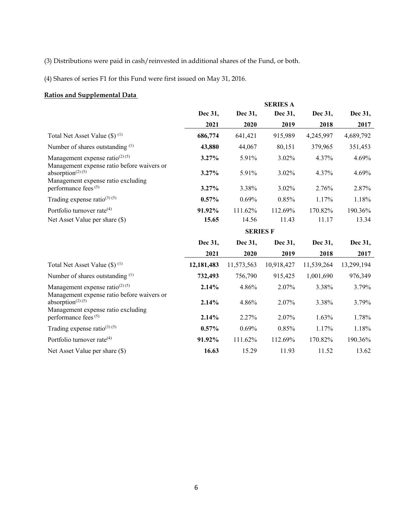(3) Distributions were paid in cash/reinvested in additional shares of the Fund, or both.

(4) Shares of series F1 for this Fund were first issued on May 31, 2016.

# **Ratios and Supplemental Data**

|                                                                                          |            |                 | <b>SERIES A</b> |            |            |
|------------------------------------------------------------------------------------------|------------|-----------------|-----------------|------------|------------|
|                                                                                          | Dec 31,    | Dec 31,         | Dec 31,         | Dec 31,    | Dec 31,    |
|                                                                                          | 2021       | 2020            | 2019            | 2018       | 2017       |
| Total Net Asset Value $(\$)$ <sup>(1)</sup>                                              | 686,774    | 641,421         | 915,989         | 4,245,997  | 4,689,792  |
| Number of shares outstanding $(1)$                                                       | 43,880     | 44,067          | 80,151          | 379,965    | 351,453    |
| Management expense ratio <sup>(2)(5)</sup><br>Management expense ratio before waivers or | 3.27%      | 5.91%           | 3.02%           | 4.37%      | 4.69%      |
| absorption $(2)$ $(5)$<br>Management expense ratio excluding                             | 3.27%      | 5.91%           | 3.02%           | 4.37%      | 4.69%      |
| performance fees <sup>(5)</sup>                                                          | 3.27%      | 3.38%           | 3.02%           | 2.76%      | 2.87%      |
| Trading expense ratio <sup>(3) (5)</sup>                                                 | $0.57\%$   | 0.69%           | 0.85%           | 1.17%      | 1.18%      |
| Portfolio turnover rate <sup>(4)</sup>                                                   | 91.92%     | 111.62%         | 112.69%         | 170.82%    | 190.36%    |
| Net Asset Value per share (\$)                                                           | 15.65      | 14.56           | 11.43           | 11.17      | 13.34      |
|                                                                                          |            | <b>SERIES F</b> |                 |            |            |
|                                                                                          | Dec 31,    | Dec 31,         | Dec 31,         | Dec 31,    | Dec 31,    |
|                                                                                          | 2021       | 2020            | 2019            | 2018       | 2017       |
| Total Net Asset Value $(\$)$ <sup>(1)</sup>                                              | 12,181,483 | 11,573,563      | 10,918,427      | 11,539,264 | 13,299,194 |
| Number of shares outstanding (1)                                                         | 732,493    | 756,790         | 915,425         | 1,001,690  | 976,349    |
| Management expense ratio <sup>(2)(5)</sup><br>Management expense ratio before waivers or | 2.14%      | 4.86%           | 2.07%           | 3.38%      | 3.79%      |
| absorption $(2)$ $(5)$<br>Management expense ratio excluding                             | 2.14%      | 4.86%           | 2.07%           | 3.38%      | 3.79%      |
| performance fees <sup>(5)</sup>                                                          | 2.14%      | 2.27%           | 2.07%           | 1.63%      | 1.78%      |
| Trading expense ratio <sup>(3) (5)</sup>                                                 | 0.57%      | 0.69%           | 0.85%           | 1.17%      | 1.18%      |
| Portfolio turnover rate <sup>(4)</sup>                                                   |            |                 |                 |            | 190.36%    |
|                                                                                          | 91.92%     | 111.62%         | 112.69%         | 170.82%    |            |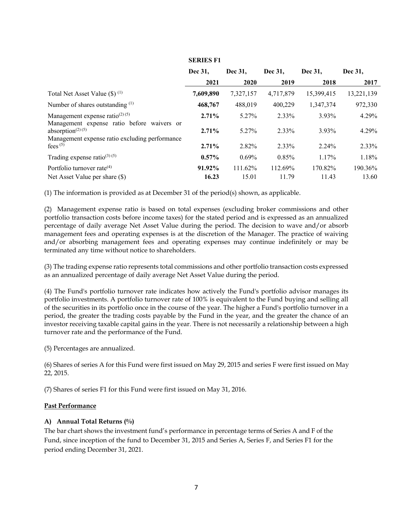|                                                                                                                                                       | Dec 31.         | Dec 31.          | Dec 31.          | Dec 31.          | Dec 31.          |
|-------------------------------------------------------------------------------------------------------------------------------------------------------|-----------------|------------------|------------------|------------------|------------------|
|                                                                                                                                                       | 2021            | 2020             | 2019             | 2018             | 2017             |
| Total Net Asset Value $(\$)$ <sup>(1)</sup>                                                                                                           | 7,609,890       | 7,327,157        | 4,717,879        | 15,399,415       | 13,221,139       |
| Number of shares outstanding (1)                                                                                                                      | 468,767         | 488,019          | 400,229          | 1,347,374        | 972,330          |
| Management expense ratio <sup>(2)(5)</sup>                                                                                                            | 2.71%           | 5.27%            | 2.33%            | 3.93%            | 4.29%            |
| Management expense ratio before waivers or<br>absorption <sup><math>(2)</math></sup> <sup>(5)</sup><br>Management expense ratio excluding performance | 2.71%           | 5.27%            | 2.33%            | 3.93%            | 4.29%            |
| fees $(5)$                                                                                                                                            | 2.71%           | 2.82%            | 2.33%            | 2.24%            | 2.33%            |
| Trading expense ratio <sup>(3) (5)</sup>                                                                                                              | $0.57\%$        | 0.69%            | 0.85%            | 1.17%            | 1.18%            |
| Portfolio turnover rate $(4)$<br>Net Asset Value per share (\$)                                                                                       | 91.92%<br>16.23 | 111.62%<br>15.01 | 112.69%<br>11.79 | 170.82%<br>11.43 | 190.36%<br>13.60 |

### **SERIES F1**

(1) The information is provided as at December 31 of the period(s) shown, as applicable.

(2) Management expense ratio is based on total expenses (excluding broker commissions and other portfolio transaction costs before income taxes) for the stated period and is expressed as an annualized percentage of daily average Net Asset Value during the period. The decision to wave and/or absorb management fees and operating expenses is at the discretion of the Manager. The practice of waiving and/or absorbing management fees and operating expenses may continue indefinitely or may be terminated any time without notice to shareholders.

(3) The trading expense ratio represents total commissions and other portfolio transaction costs expressed as an annualized percentage of daily average Net Asset Value during the period.

(4) The Fund's portfolio turnover rate indicates how actively the Fund's portfolio advisor manages its portfolio investments. A portfolio turnover rate of 100% is equivalent to the Fund buying and selling all of the securities in its portfolio once in the course of the year. The higher a Fund's portfolio turnover in a period, the greater the trading costs payable by the Fund in the year, and the greater the chance of an investor receiving taxable capital gains in the year. There is not necessarily a relationship between a high turnover rate and the performance of the Fund.

(5) Percentages are annualized.

(6) Shares of series A for this Fund were first issued on May 29, 2015 and series F were first issued on May 22, 2015.

(7) Shares of series F1 for this Fund were first issued on May 31, 2016.

#### **Past Performance**

#### **A) Annual Total Returns (%)**

The bar chart shows the investment fund's performance in percentage terms of Series A and F of the Fund, since inception of the fund to December 31, 2015 and Series A, Series F, and Series F1 for the period ending December 31, 2021.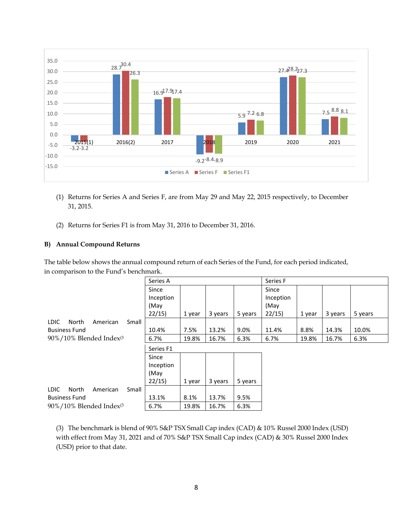

- (1) Returns for Series A and Series F, are from May 29 and May 22, 2015 respectively, to December 31, 2015.
- (2) Returns for Series F1 is from May 31, 2016 to December 31, 2016.

### **B) Annual Compound Returns**

The table below shows the annual compound return of each Series of the Fund, for each period indicated, in comparison to the Fund's benchmark.

|                                     | Series A  |        |         | Series F |           |        |         |         |
|-------------------------------------|-----------|--------|---------|----------|-----------|--------|---------|---------|
|                                     | Since     |        |         |          | Since     |        |         |         |
|                                     | Inception |        |         |          | Inception |        |         |         |
|                                     | (May      |        |         |          | (May      |        |         |         |
|                                     | 22/15     | 1 year | 3 years | 5 years  | 22/15     | 1 year | 3 years | 5 years |
| LDIC.<br>North<br>American<br>Small |           |        |         |          |           |        |         |         |
| <b>Business Fund</b>                | 10.4%     | 7.5%   | 13.2%   | 9.0%     | 11.4%     | 8.8%   | 14.3%   | 10.0%   |
| 90%/10% Blended Index <sup>(3</sup> | 6.7%      | 19.8%  | 16.7%   | 6.3%     | 6.7%      | 19.8%  | 16.7%   | 6.3%    |
|                                     | Series F1 |        |         |          |           |        |         |         |
|                                     | Since     |        |         |          |           |        |         |         |
|                                     | Inception |        |         |          |           |        |         |         |
|                                     | (May      |        |         |          |           |        |         |         |
|                                     | 22/15     | 1 year | 3 years | 5 years  |           |        |         |         |
| LDIC.<br>North<br>Small<br>American |           |        |         |          |           |        |         |         |
| <b>Business Fund</b>                | 13.1%     | 8.1%   | 13.7%   | 9.5%     |           |        |         |         |
| 90%/10% Blended Index <sup>(3</sup> | 6.7%      | 19.8%  | 16.7%   | 6.3%     |           |        |         |         |

(3) The benchmark is blend of 90% S&P TSX Small Cap index (CAD) & 10% Russel 2000 Index (USD) with effect from May 31, 2021 and of 70% S&P TSX Small Cap index (CAD) & 30% Russel 2000 Index (USD) prior to that date.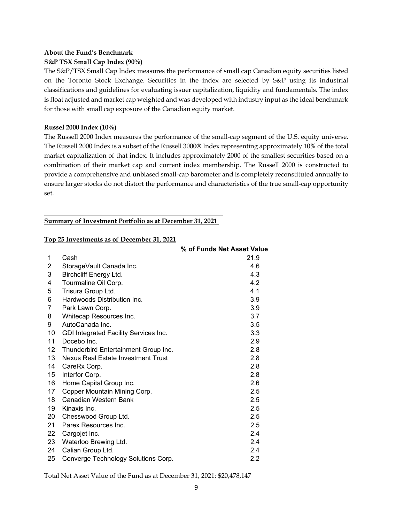### **About the Fund's Benchmark**

### **S&P TSX Small Cap Index (90%)**

The S&P/TSX Small Cap Index measures the performance of small cap Canadian equity securities listed on the Toronto Stock Exchange. Securities in the index are selected by S&P using its industrial classifications and guidelines for evaluating issuer capitalization, liquidity and fundamentals. The index is float adjusted and market cap weighted and was developed with industry input as the ideal benchmark for those with small cap exposure of the Canadian equity market.

#### **Russel 2000 Index (10%)**

The Russell 2000 Index measures the performance of the small-cap segment of the U.S. equity universe. The Russell 2000 Index is a subset of the Russell 3000® Index representing approximately 10% of the total market capitalization of that index. It includes approximately 2000 of the smallest securities based on a combination of their market cap and current index membership. The Russell 2000 is constructed to provide a comprehensive and unbiased small-cap barometer and is completely reconstituted annually to ensure larger stocks do not distort the performance and characteristics of the true small-cap opportunity set.

#### **Summary of Investment Portfolio as at December 31, 2021**

#### **Top 25 Investments as of December 31, 2021**

|    |                                       | % of Funds Net Asset Value |
|----|---------------------------------------|----------------------------|
| 1  | Cash                                  | 21.9                       |
| 2  | StorageVault Canada Inc.              | 4.6                        |
| 3  | Birchcliff Energy Ltd.                | 4.3                        |
| 4  | Tourmaline Oil Corp.                  | 4.2                        |
| 5  | Trisura Group Ltd.                    | 4.1                        |
| 6  | Hardwoods Distribution Inc.           | 3.9                        |
| 7  | Park Lawn Corp.                       | 3.9                        |
| 8  | Whitecap Resources Inc.               | 3.7                        |
| 9  | AutoCanada Inc.                       | 3.5                        |
| 10 | GDI Integrated Facility Services Inc. | 3.3                        |
| 11 | Docebo Inc.                           | 2.9                        |
| 12 | Thunderbird Entertainment Group Inc.  | 2.8                        |
| 13 | Nexus Real Estate Investment Trust    | 2.8                        |
| 14 | CareRx Corp.                          | 2.8                        |
| 15 | Interfor Corp.                        | 2.8                        |
| 16 | Home Capital Group Inc.               | 2.6                        |
| 17 | Copper Mountain Mining Corp.          | 2.5                        |
| 18 | Canadian Western Bank                 | 2.5                        |
| 19 | Kinaxis Inc.                          | 2.5                        |
| 20 | Chesswood Group Ltd.                  | 2.5                        |
| 21 | Parex Resources Inc.                  | 2.5                        |
| 22 | Cargojet Inc.                         | 2.4                        |
| 23 | Waterloo Brewing Ltd.                 | 2.4                        |
| 24 | Calian Group Ltd.                     | 2.4                        |
| 25 | Converge Technology Solutions Corp.   | 2.2                        |

Total Net Asset Value of the Fund as at December 31, 2021: \$20,478,147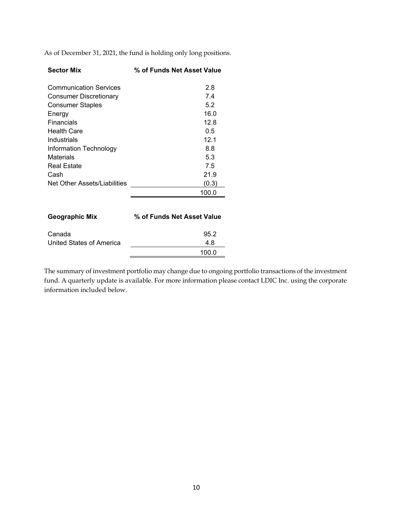As of December 31, 2021, the fund is holding only long positions.

| <b>Sector Mix</b>             | % of Funds Net Asset Value |
|-------------------------------|----------------------------|
| <b>Communication Services</b> | 2.8                        |
| Consumer Discretionary        | 7.4                        |
| Consumer Staples              | 5.2                        |
| Energy                        | 16.0                       |
| Financials                    | 12.8                       |
| <b>Health Care</b>            | 0.5                        |
| Industrials                   | 12.1                       |
| Information Technology        | 8.8                        |
| <b>Materials</b>              | 5.3                        |
| <b>Real Estate</b>            | 7.5                        |
| Cash                          | 21.9                       |
| Net Other Assets/Liabilities  | (0.3)                      |
|                               | 100.0                      |
| Geographic Mix                | % of Funds Net Asset Value |

| Canada                   | 95.2  |
|--------------------------|-------|
| United States of America | 4.8   |
|                          | 100.0 |

The summary of investment portfolio may change due to ongoing portfolio transactions of the investment fund. A quarterly update is available. For more information please contact LDIC Inc. using the corporate information included below.